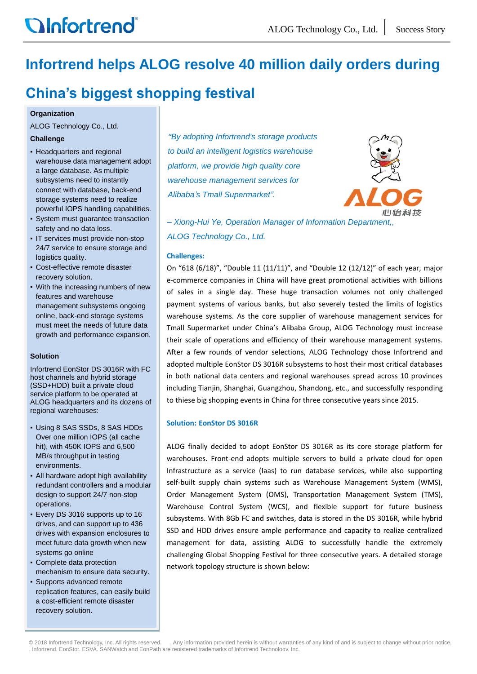# **ALOG Technology Co., Ltd.** Success Story

# **Infortrend helps ALOG resolve 40 million daily orders during**

# **China's biggest shopping festival**

# **Organization**

ALOG Technology Co., Ltd. **Challenge**

- Headquarters and regional warehouse data management adopt a large database. As multiple subsystems need to instantly connect with database, back-end storage systems need to realize powerful IOPS handling capabilities.
- powerium iOPS riamuling capabilities.<br>System must guarantee transaction safety and no data loss.
- IT services must provide non-stop 24/7 service to ensure storage and logistics quality.
- Cost-effective remote disaster recovery solution.
- With the increasing numbers of new features and warehouse management subsystems ongoing online, back-end storage systems must meet the needs of future data growth and performance expansion.

### **Solution**

Infortrend EonStor DS 3016R with FC host channels and hybrid storage (SSD+HDD) built a private cloud service platform to be operated at ALOG headquarters and its dozens of regional warehouses:

- Using 8 SAS SSDs, 8 SAS HDDs Over one million IOPS (all cache hit), with 450K IOPS and 6,500 MB/s throughput in testing environments.
- All hardware adopt high availability redundant controllers and a modular design to support 24/7 non-stop operations.
- Every DS 3016 supports up to 16 drives, and can support up to 436 drives with expansion enclosures to meet future data growth when new systems go online
- Complete data protection mechanism to ensure data security.
- Supports advanced remote replication features, can easily build a cost-efficient remote disaster recovery solution.

*"By adopting Infortrend's storage products to build an intelligent logistics warehouse platform, we provide high quality core warehouse management services for Alibaba's Tmall Supermarket".*



*– Xiong-Hui Ye, Operation Manager of Information Department,, ALOG Technology Co., Ltd.*

# **Challenges:**

On "618 (6/18)", "Double 11 (11/11)", and "Double 12 (12/12)" of each year, major e-commerce companies in China will have great promotional activities with billions of sales in a single day. These huge transaction volumes not only challenged payment systems of various banks, but also severely tested the limits of logistics warehouse systems. As the core supplier of warehouse management services for Tmall Supermarket under China's Alibaba Group, ALOG Technology must increase their scale of operations and efficiency of their warehouse management systems. After a few rounds of vendor selections, ALOG Technology chose Infortrend and adopted multiple EonStor DS 3016R subsystems to host their most critical databases in both national data centers and regional warehouses spread across 10 provinces including Tianjin, Shanghai, Guangzhou, Shandong, etc., and successfully responding to thiese big shopping events in China for three consecutive years since 2015.

# **Solution: EonStor DS 3016R**

ALOG finally decided to adopt EonStor DS 3016R as its core storage platform for warehouses. Front-end adopts multiple servers to build a private cloud for open Infrastructure as a service (Iaas) to run database services, while also supporting self-built supply chain systems such as Warehouse Management System (WMS), Order Management System (OMS), Transportation Management System (TMS), Warehouse Control System (WCS), and flexible support for future business subsystems. With 8Gb FC and switches, data is stored in the DS 3016R, while hybrid SSD and HDD drives ensure ample performance and capacity to realize centralized management for data, assisting ALOG to successfully handle the extremely challenging Global Shopping Festival for three consecutive years. A detailed storage network topology structure is shown below: